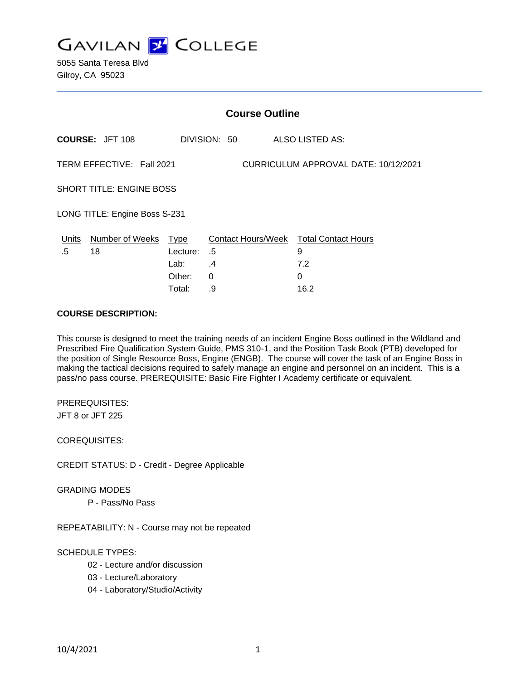

5055 Santa Teresa Blvd Gilroy, CA 95023

| <b>Course Outline</b>                                             |                            |          |              |                                        |  |
|-------------------------------------------------------------------|----------------------------|----------|--------------|----------------------------------------|--|
|                                                                   | <b>COURSE: JFT 108</b>     |          | DIVISION: 50 | ALSO LISTED AS:                        |  |
| TERM EFFECTIVE: Fall 2021<br>CURRICULUM APPROVAL DATE: 10/12/2021 |                            |          |              |                                        |  |
| <b>SHORT TITLE: ENGINE BOSS</b>                                   |                            |          |              |                                        |  |
| LONG TITLE: Engine Boss S-231                                     |                            |          |              |                                        |  |
|                                                                   | Units Number of Weeks Type |          |              | Contact Hours/Week Total Contact Hours |  |
| .5                                                                | 18                         | Lecture: | .5           | 9                                      |  |
|                                                                   |                            | Lab:     | .4           | 7.2                                    |  |
|                                                                   |                            | Other:   | $\Omega$     | $\Omega$                               |  |
|                                                                   |                            | Total:   | .9           | 16.2                                   |  |

### **COURSE DESCRIPTION:**

This course is designed to meet the training needs of an incident Engine Boss outlined in the Wildland and Prescribed Fire Qualification System Guide, PMS 310-1, and the Position Task Book (PTB) developed for the position of Single Resource Boss, Engine (ENGB). The course will cover the task of an Engine Boss in making the tactical decisions required to safely manage an engine and personnel on an incident. This is a pass/no pass course. PREREQUISITE: Basic Fire Fighter I Academy certificate or equivalent.

PREREQUISITES:

JFT 8 or JFT 225

COREQUISITES:

CREDIT STATUS: D - Credit - Degree Applicable

GRADING MODES

P - Pass/No Pass

REPEATABILITY: N - Course may not be repeated

# SCHEDULE TYPES:

- 02 Lecture and/or discussion
- 03 Lecture/Laboratory
- 04 Laboratory/Studio/Activity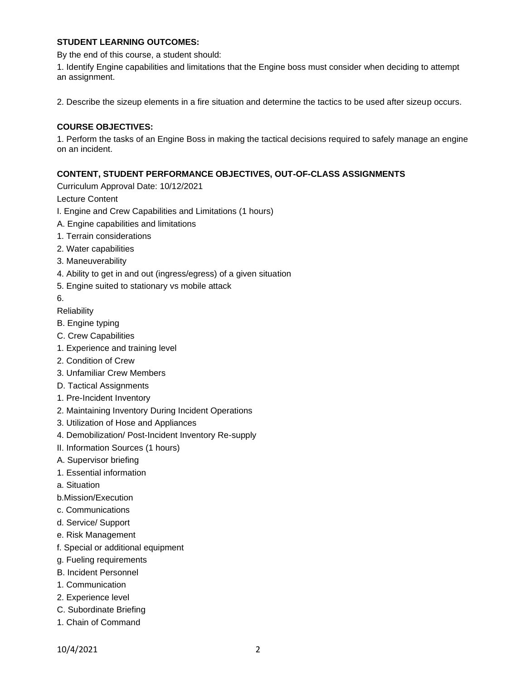## **STUDENT LEARNING OUTCOMES:**

By the end of this course, a student should:

1. Identify Engine capabilities and limitations that the Engine boss must consider when deciding to attempt an assignment.

2. Describe the sizeup elements in a fire situation and determine the tactics to be used after sizeup occurs.

## **COURSE OBJECTIVES:**

1. Perform the tasks of an Engine Boss in making the tactical decisions required to safely manage an engine on an incident.

### **CONTENT, STUDENT PERFORMANCE OBJECTIVES, OUT-OF-CLASS ASSIGNMENTS**

Curriculum Approval Date: 10/12/2021

Lecture Content

- I. Engine and Crew Capabilities and Limitations (1 hours)
- A. Engine capabilities and limitations
- 1. Terrain considerations
- 2. Water capabilities
- 3. Maneuverability
- 4. Ability to get in and out (ingress/egress) of a given situation
- 5. Engine suited to stationary vs mobile attack
- 6.
- **Reliability**
- B. Engine typing
- C. Crew Capabilities
- 1. Experience and training level
- 2. Condition of Crew
- 3. Unfamiliar Crew Members
- D. Tactical Assignments
- 1. Pre-Incident Inventory
- 2. Maintaining Inventory During Incident Operations
- 3. Utilization of Hose and Appliances
- 4. Demobilization/ Post-Incident Inventory Re-supply
- II. Information Sources (1 hours)
- A. Supervisor briefing
- 1. Essential information
- a. Situation
- b.Mission/Execution
- c. Communications
- d. Service/ Support
- e. Risk Management
- f. Special or additional equipment
- g. Fueling requirements
- B. Incident Personnel
- 1. Communication
- 2. Experience level
- C. Subordinate Briefing
- 1. Chain of Command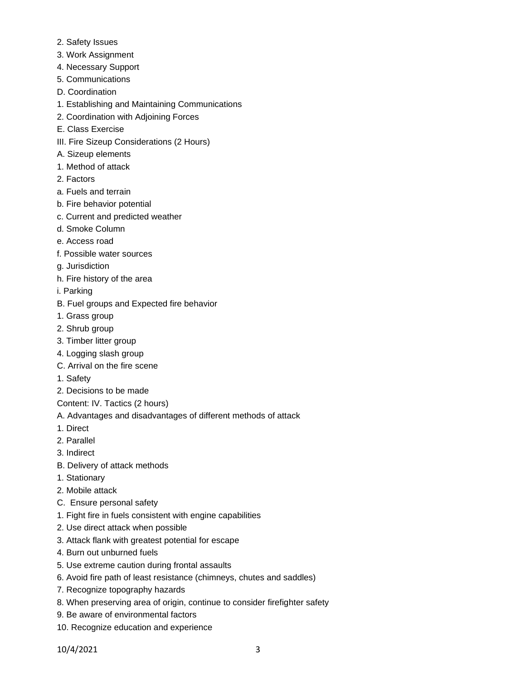- 2. Safety Issues
- 3. Work Assignment
- 4. Necessary Support
- 5. Communications
- D. Coordination
- 1. Establishing and Maintaining Communications
- 2. Coordination with Adjoining Forces
- E. Class Exercise
- III. Fire Sizeup Considerations (2 Hours)
- A. Sizeup elements
- 1. Method of attack
- 2. Factors
- a. Fuels and terrain
- b. Fire behavior potential
- c. Current and predicted weather
- d. Smoke Column
- e. Access road
- f. Possible water sources
- g. Jurisdiction
- h. Fire history of the area
- i. Parking
- B. Fuel groups and Expected fire behavior
- 1. Grass group
- 2. Shrub group
- 3. Timber litter group
- 4. Logging slash group
- C. Arrival on the fire scene
- 1. Safety
- 2. Decisions to be made
- Content: IV. Tactics (2 hours)
- A. Advantages and disadvantages of different methods of attack
- 1. Direct
- 2. Parallel
- 3. Indirect
- B. Delivery of attack methods
- 1. Stationary
- 2. Mobile attack
- C. Ensure personal safety
- 1. Fight fire in fuels consistent with engine capabilities
- 2. Use direct attack when possible
- 3. Attack flank with greatest potential for escape
- 4. Burn out unburned fuels
- 5. Use extreme caution during frontal assaults
- 6. Avoid fire path of least resistance (chimneys, chutes and saddles)
- 7. Recognize topography hazards
- 8. When preserving area of origin, continue to consider firefighter safety
- 9. Be aware of environmental factors
- 10. Recognize education and experience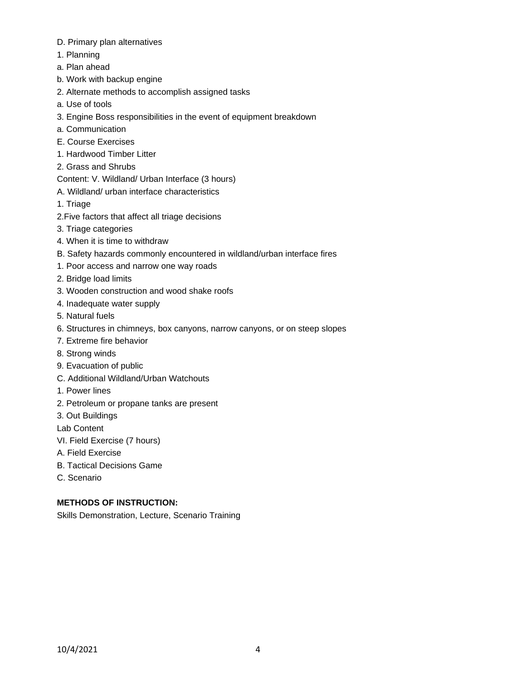- D. Primary plan alternatives
- 1. Planning
- a. Plan ahead
- b. Work with backup engine
- 2. Alternate methods to accomplish assigned tasks
- a. Use of tools
- 3. Engine Boss responsibilities in the event of equipment breakdown
- a. Communication
- E. Course Exercises
- 1. Hardwood Timber Litter
- 2. Grass and Shrubs
- Content: V. Wildland/ Urban Interface (3 hours)
- A. Wildland/ urban interface characteristics
- 1. Triage
- 2.Five factors that affect all triage decisions
- 3. Triage categories
- 4. When it is time to withdraw
- B. Safety hazards commonly encountered in wildland/urban interface fires
- 1. Poor access and narrow one way roads
- 2. Bridge load limits
- 3. Wooden construction and wood shake roofs
- 4. Inadequate water supply
- 5. Natural fuels
- 6. Structures in chimneys, box canyons, narrow canyons, or on steep slopes
- 7. Extreme fire behavior
- 8. Strong winds
- 9. Evacuation of public
- C. Additional Wildland/Urban Watchouts
- 1. Power lines
- 2. Petroleum or propane tanks are present
- 3. Out Buildings

Lab Content

- VI. Field Exercise (7 hours)
- A. Field Exercise
- B. Tactical Decisions Game
- C. Scenario

# **METHODS OF INSTRUCTION:**

Skills Demonstration, Lecture, Scenario Training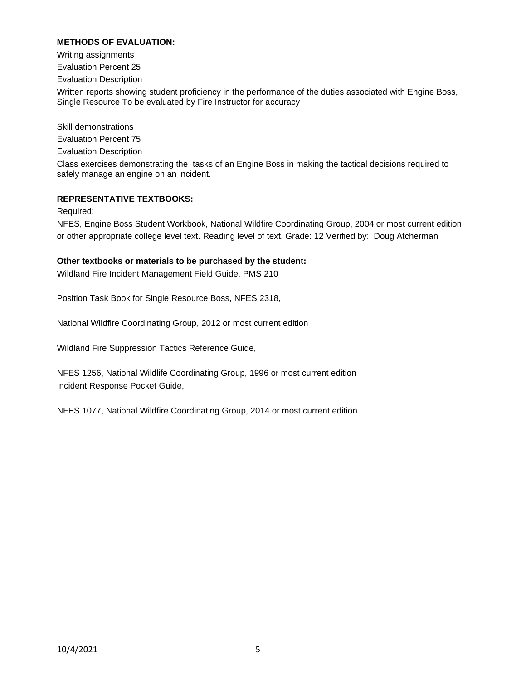# **METHODS OF EVALUATION:**

Writing assignments Evaluation Percent 25 Evaluation Description Written reports showing student proficiency in the performance of the duties associated with Engine Boss, Single Resource To be evaluated by Fire Instructor for accuracy Skill demonstrations

Evaluation Percent 75 Evaluation Description Class exercises demonstrating the tasks of an Engine Boss in making the tactical decisions required to safely manage an engine on an incident.

## **REPRESENTATIVE TEXTBOOKS:**

Required:

NFES, Engine Boss Student Workbook, National Wildfire Coordinating Group, 2004 or most current edition or other appropriate college level text. Reading level of text, Grade: 12 Verified by: Doug Atcherman

### **Other textbooks or materials to be purchased by the student:**

Wildland Fire Incident Management Field Guide, PMS 210

Position Task Book for Single Resource Boss, NFES 2318,

National Wildfire Coordinating Group, 2012 or most current edition

Wildland Fire Suppression Tactics Reference Guide,

NFES 1256, National Wildlife Coordinating Group, 1996 or most current edition Incident Response Pocket Guide,

NFES 1077, National Wildfire Coordinating Group, 2014 or most current edition